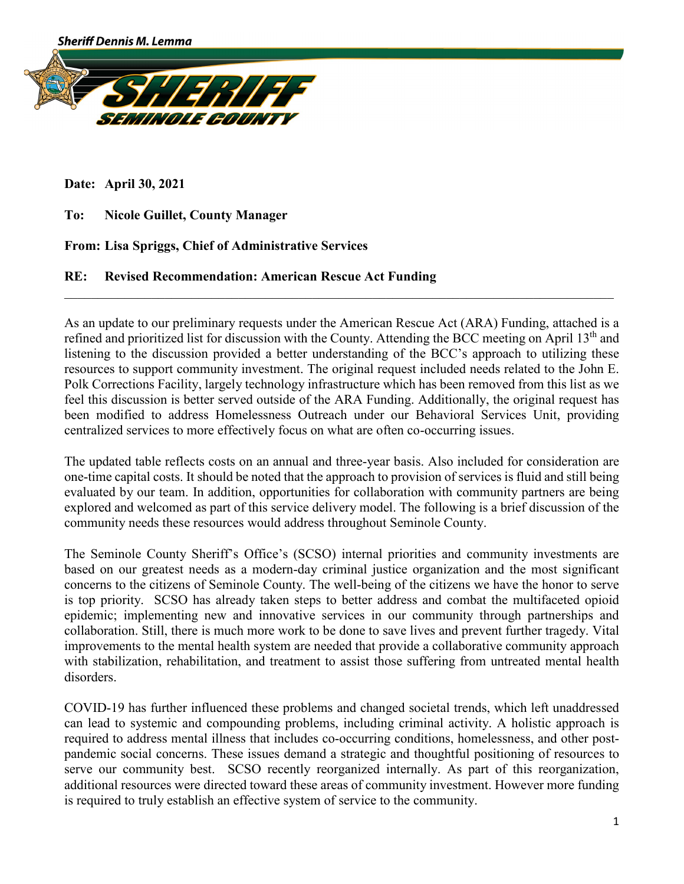

**Date: April 30, 2021**

**To: Nicole Guillet, County Manager** 

**From: Lisa Spriggs, Chief of Administrative Services**

## **RE: Revised Recommendation: American Rescue Act Funding**

As an update to our preliminary requests under the American Rescue Act (ARA) Funding, attached is a refined and prioritized list for discussion with the County. Attending the BCC meeting on April 13<sup>th</sup> and listening to the discussion provided a better understanding of the BCC's approach to utilizing these resources to support community investment. The original request included needs related to the John E. Polk Corrections Facility, largely technology infrastructure which has been removed from this list as we feel this discussion is better served outside of the ARA Funding. Additionally, the original request has been modified to address Homelessness Outreach under our Behavioral Services Unit, providing centralized services to more effectively focus on what are often co-occurring issues.

\_\_\_\_\_\_\_\_\_\_\_\_\_\_\_\_\_\_\_\_\_\_\_\_\_\_\_\_\_\_\_\_\_\_\_\_\_\_\_\_\_\_\_\_\_\_\_\_\_\_\_\_\_\_\_\_\_\_\_\_\_\_\_\_\_\_\_\_\_\_\_\_\_\_\_\_\_\_\_\_\_\_

The updated table reflects costs on an annual and three-year basis. Also included for consideration are one-time capital costs. It should be noted that the approach to provision of services is fluid and still being evaluated by our team. In addition, opportunities for collaboration with community partners are being explored and welcomed as part of this service delivery model. The following is a brief discussion of the community needs these resources would address throughout Seminole County.

The Seminole County Sheriff's Office's (SCSO) internal priorities and community investments are based on our greatest needs as a modern-day criminal justice organization and the most significant concerns to the citizens of Seminole County. The well-being of the citizens we have the honor to serve is top priority. SCSO has already taken steps to better address and combat the multifaceted opioid epidemic; implementing new and innovative services in our community through partnerships and collaboration. Still, there is much more work to be done to save lives and prevent further tragedy. Vital improvements to the mental health system are needed that provide a collaborative community approach with stabilization, rehabilitation, and treatment to assist those suffering from untreated mental health disorders.

COVID-19 has further influenced these problems and changed societal trends, which left unaddressed can lead to systemic and compounding problems, including criminal activity. A holistic approach is required to address mental illness that includes co-occurring conditions, homelessness, and other postpandemic social concerns. These issues demand a strategic and thoughtful positioning of resources to serve our community best. SCSO recently reorganized internally. As part of this reorganization, additional resources were directed toward these areas of community investment. However more funding is required to truly establish an effective system of service to the community.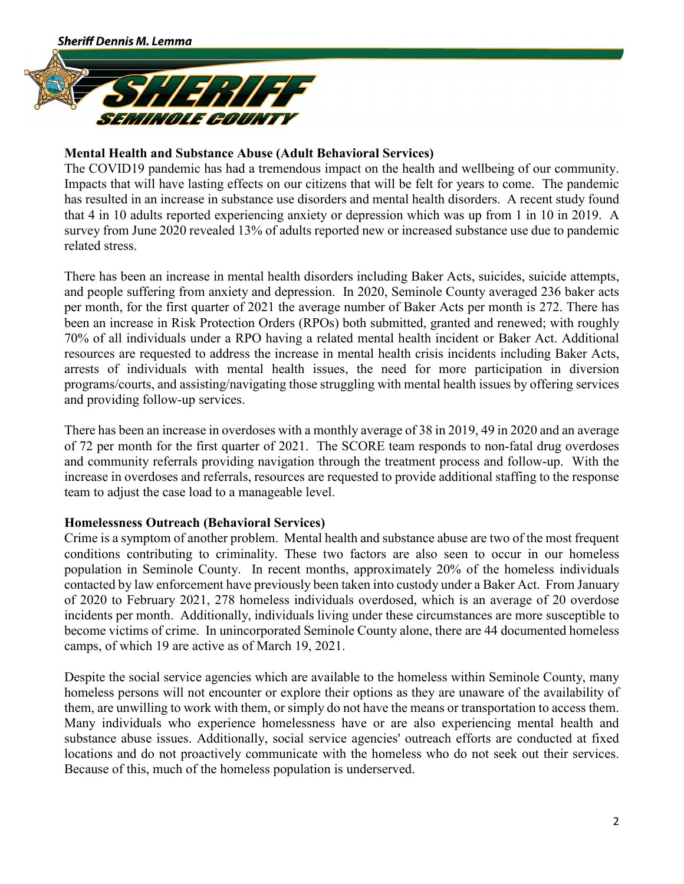

# **Mental Health and Substance Abuse (Adult Behavioral Services)**

The COVID19 pandemic has had a tremendous impact on the health and wellbeing of our community. Impacts that will have lasting effects on our citizens that will be felt for years to come. The pandemic has resulted in an increase in substance use disorders and mental health disorders. A recent study found that 4 in 10 adults reported experiencing anxiety or depression which was up from 1 in 10 in 2019. A survey from June 2020 revealed 13% of adults reported new or increased substance use due to pandemic related stress.

There has been an increase in mental health disorders including Baker Acts, suicides, suicide attempts, and people suffering from anxiety and depression. In 2020, Seminole County averaged 236 baker acts per month, for the first quarter of 2021 the average number of Baker Acts per month is 272. There has been an increase in Risk Protection Orders (RPOs) both submitted, granted and renewed; with roughly 70% of all individuals under a RPO having a related mental health incident or Baker Act. Additional resources are requested to address the increase in mental health crisis incidents including Baker Acts, arrests of individuals with mental health issues, the need for more participation in diversion programs/courts, and assisting/navigating those struggling with mental health issues by offering services and providing follow-up services.

There has been an increase in overdoses with a monthly average of 38 in 2019, 49 in 2020 and an average of 72 per month for the first quarter of 2021. The SCORE team responds to non-fatal drug overdoses and community referrals providing navigation through the treatment process and follow-up. With the increase in overdoses and referrals, resources are requested to provide additional staffing to the response team to adjust the case load to a manageable level.

### **Homelessness Outreach (Behavioral Services)**

Crime is a symptom of another problem. Mental health and substance abuse are two of the most frequent conditions contributing to criminality. These two factors are also seen to occur in our homeless population in Seminole County. In recent months, approximately 20% of the homeless individuals contacted by law enforcement have previously been taken into custody under a Baker Act. From January of 2020 to February 2021, 278 homeless individuals overdosed, which is an average of 20 overdose incidents per month. Additionally, individuals living under these circumstances are more susceptible to become victims of crime. In unincorporated Seminole County alone, there are 44 documented homeless camps, of which 19 are active as of March 19, 2021.

Despite the social service agencies which are available to the homeless within Seminole County, many homeless persons will not encounter or explore their options as they are unaware of the availability of them, are unwilling to work with them, or simply do not have the means or transportation to access them. Many individuals who experience homelessness have or are also experiencing mental health and substance abuse issues. Additionally, social service agencies' outreach efforts are conducted at fixed locations and do not proactively communicate with the homeless who do not seek out their services. Because of this, much of the homeless population is underserved.